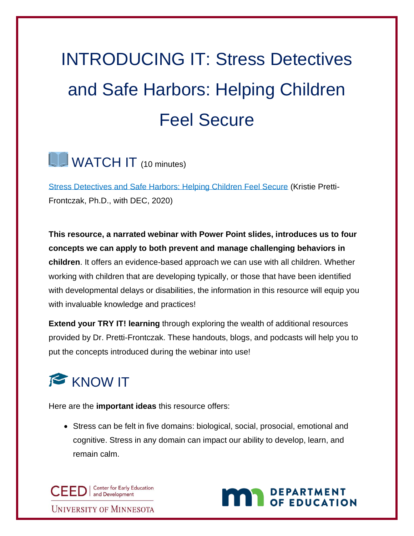# INTRODUCING IT: Stress Detectives and Safe Harbors: Helping Children Feel Secure

#### **UD** WATCH IT (10 minutes)

[Stress Detectives and Safe Harbors: Helping Children Feel Secure](https://www.youtube.com/watch?v=5CfNF7o1mHE&feature=emb_logo) (Kristie Pretti-Frontczak, Ph.D., with DEC, 2020)

**This resource, a narrated webinar with Power Point slides, introduces us to four concepts we can apply to both prevent and manage challenging behaviors in children**. It offers an evidence-based approach we can use with all children. Whether working with children that are developing typically, or those that have been identified with developmental delays or disabilities, the information in this resource will equip you with invaluable knowledge and practices!

**Extend your TRY IT! learning** through exploring the wealth of additional resources provided by Dr. Pretti-Frontczak. These handouts, blogs, and podcasts will help you to put the concepts introduced during the webinar into use!



Here are the **important ideas** this resource offers:

• Stress can be felt in five domains: biological, social, prosocial, emotional and cognitive. Stress in any domain can impact our ability to develop, learn, and remain calm.

CED | Center for Early Education **UNIVERSITY OF MINNESOTA** 

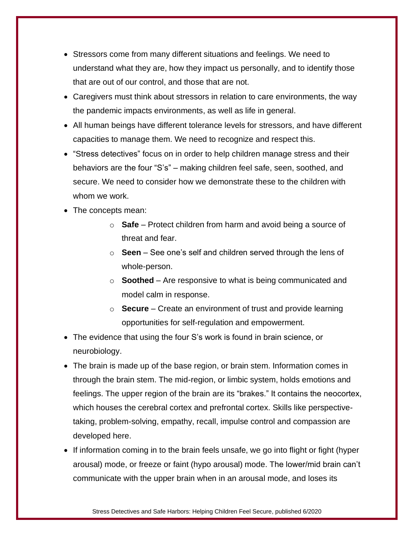- Stressors come from many different situations and feelings. We need to understand what they are, how they impact us personally, and to identify those that are out of our control, and those that are not.
- Caregivers must think about stressors in relation to care environments, the way the pandemic impacts environments, as well as life in general.
- All human beings have different tolerance levels for stressors, and have different capacities to manage them. We need to recognize and respect this.
- "Stress detectives" focus on in order to help children manage stress and their behaviors are the four "S's" – making children feel safe, seen, soothed, and secure. We need to consider how we demonstrate these to the children with whom we work.
- The concepts mean:
	- o **Safe** Protect children from harm and avoid being a source of threat and fear.
	- o **Seen**  See one's self and children served through the lens of whole-person.
	- o **Soothed** Are responsive to what is being communicated and model calm in response.
	- o **Secure**  Create an environment of trust and provide learning opportunities for self-regulation and empowerment.
- The evidence that using the four S's work is found in brain science, or neurobiology.
- The brain is made up of the base region, or brain stem. Information comes in through the brain stem. The mid-region, or limbic system, holds emotions and feelings. The upper region of the brain are its "brakes." It contains the neocortex, which houses the cerebral cortex and prefrontal cortex. Skills like perspectivetaking, problem-solving, empathy, recall, impulse control and compassion are developed here.
- If information coming in to the brain feels unsafe, we go into flight or fight (hyper arousal) mode, or freeze or faint (hypo arousal) mode. The lower/mid brain can't communicate with the upper brain when in an arousal mode, and loses its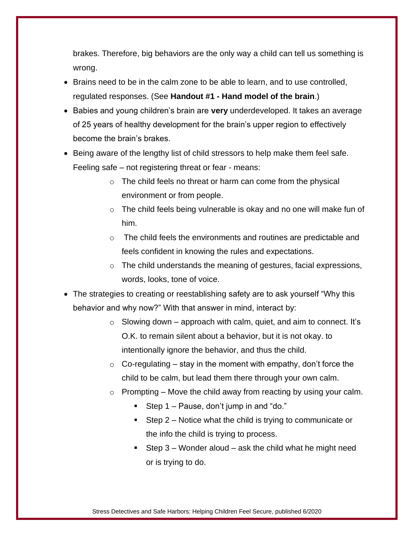brakes. Therefore, big behaviors are the only way a child can tell us something is wrong.

- Brains need to be in the calm zone to be able to learn, and to use controlled, regulated responses. (See **Handout #1 - Hand model of the brain**.)
- Babies and young children's brain are **very** underdeveloped. It takes an average of 25 years of healthy development for the brain's upper region to effectively become the brain's brakes.
- Being aware of the lengthy list of child stressors to help make them feel safe. Feeling safe – not registering threat or fear - means:
	- o The child feels no threat or harm can come from the physical environment or from people.
	- $\circ$  The child feels being vulnerable is okay and no one will make fun of him.
	- $\circ$  The child feels the environments and routines are predictable and feels confident in knowing the rules and expectations.
	- o The child understands the meaning of gestures, facial expressions, words, looks, tone of voice.
- The strategies to creating or reestablishing safety are to ask yourself "Why this behavior and why now?" With that answer in mind, interact by:
	- $\circ$  Slowing down approach with calm, quiet, and aim to connect. It's O.K. to remain silent about a behavior, but it is not okay. to intentionally ignore the behavior, and thus the child.
	- $\circ$  Co-regulating stay in the moment with empathy, don't force the child to be calm, but lead them there through your own calm.
	- $\circ$  Prompting Move the child away from reacting by using your calm.
		- **E** Step  $1 -$  Pause, don't jump in and "do."
		- **EXECTE:** Step  $2$  Notice what the child is trying to communicate or the info the child is trying to process.
		- **EXECT** Step 3 Wonder aloud ask the child what he might need or is trying to do.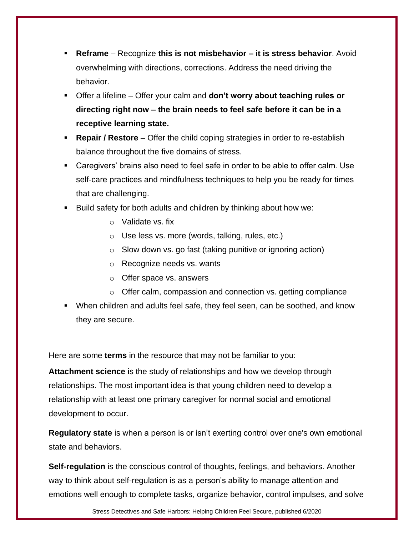- **Reframe** Recognize **this is not misbehavior – it is stress behavior**. Avoid overwhelming with directions, corrections. Address the need driving the behavior.
- Offer a lifeline Offer your calm and **don't worry about teaching rules or directing right now – the brain needs to feel safe before it can be in a receptive learning state.**
- **Repair / Restore** Offer the child coping strategies in order to re-establish balance throughout the five domains of stress.
- Caregivers' brains also need to feel safe in order to be able to offer calm. Use self-care practices and mindfulness techniques to help you be ready for times that are challenging.
- Build safety for both adults and children by thinking about how we:
	- o Validate vs. fix
	- o Use less vs. more (words, talking, rules, etc.)
	- o Slow down vs. go fast (taking punitive or ignoring action)
	- o Recognize needs vs. wants
	- o Offer space vs. answers
	- o Offer calm, compassion and connection vs. getting compliance
- When children and adults feel safe, they feel seen, can be soothed, and know they are secure.

Here are some **terms** in the resource that may not be familiar to you:

**Attachment science** is the study of relationships and how we develop through relationships. The most important idea is that young children need to develop a relationship with at least one primary caregiver for normal social and emotional development to occur.

**Regulatory state** is when a person is or isn't exerting control over one's own emotional state and behaviors.

**Self-regulation** is the conscious control of thoughts, feelings, and behaviors. Another way to think about self-regulation is as a person's ability to manage attention and emotions well enough to complete tasks, organize behavior, control impulses, and solve

Stress Detectives and Safe Harbors: Helping Children Feel Secure, published 6/2020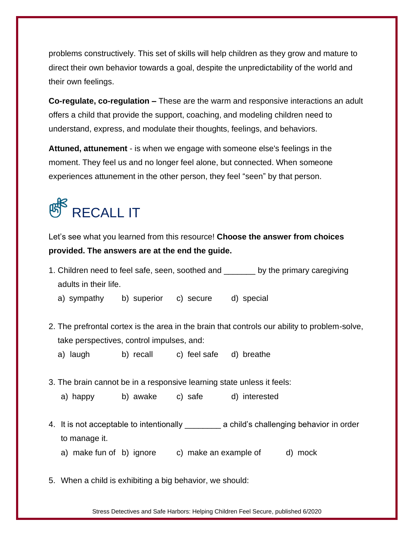problems constructively. This set of skills will help children as they grow and mature to direct their own behavior towards a goal, despite the unpredictability of the world and their own feelings.

**Co-regulate, co-regulation –** These are the warm and responsive interactions an adult offers a child that provide the support, coaching, and modeling children need to understand, express, and modulate their thoughts, feelings, and behaviors.

**Attuned, attunement** - is when we engage with someone else's feelings in the moment. They feel us and no longer feel alone, but connected. When someone experiences attunement in the other person, they feel "seen" by that person.

### **RECALL IT**

Let's see what you learned from this resource! **Choose the answer from choices provided. The answers are at the end the guide.**

1. Children need to feel safe, seen, soothed and \_\_\_\_\_\_\_ by the primary caregiving adults in their life.

a) sympathy b) superior c) secure d) special

- 2. The prefrontal cortex is the area in the brain that controls our ability to problem-solve, take perspectives, control impulses, and:
	- a) laugh b) recall c) feel safe d) breathe
- 3. The brain cannot be in a responsive learning state unless it feels:
	- a) happy b) awake c) safe d) interested
- 4. It is not acceptable to intentionally \_\_\_\_\_\_\_\_\_ a child's challenging behavior in order to manage it.
	- a) make fun of b) ignore c) make an example of d) mock
- 5. When a child is exhibiting a big behavior, we should:

Stress Detectives and Safe Harbors: Helping Children Feel Secure, published 6/2020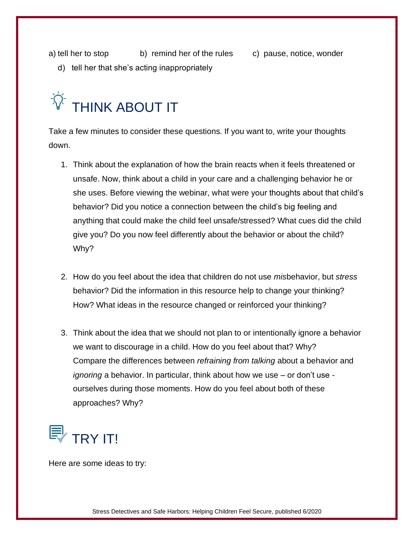a) tell her to stop b) remind her of the rules c) pause, notice, wonder

d) tell her that she's acting inappropriately

## $\widetilde{\mathcal{P}}$  THINK ABOUT IT

Take a few minutes to consider these questions. If you want to, write your thoughts down.

- 1. Think about the explanation of how the brain reacts when it feels threatened or unsafe. Now, think about a child in your care and a challenging behavior he or she uses. Before viewing the webinar, what were your thoughts about that child's behavior? Did you notice a connection between the child's big feeling and anything that could make the child feel unsafe/stressed? What cues did the child give you? Do you now feel differently about the behavior or about the child? Why?
- 2. How do you feel about the idea that children do not use *mis*behavior, but *stress*  behavior? Did the information in this resource help to change your thinking? How? What ideas in the resource changed or reinforced your thinking?
- 3. Think about the idea that we should not plan to or intentionally ignore a behavior we want to discourage in a child. How do you feel about that? Why? Compare the differences between *refraining from talking* about a behavior and *ignoring* a behavior. In particular, think about how we use – or don't use ourselves during those moments. How do you feel about both of these approaches? Why?

### $\gtrless$  TRY IT!

Here are some ideas to try: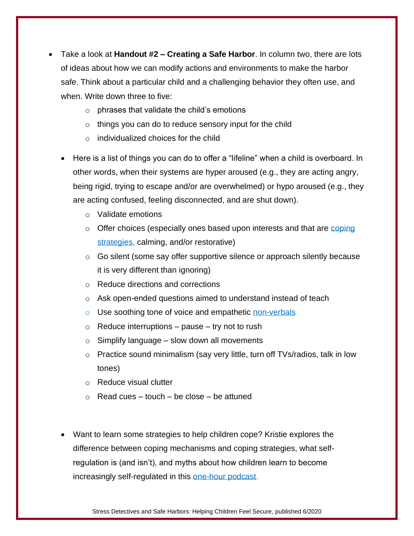- Take a look at **Handout #2 – Creating a Safe Harbor**. In column two, there are lots of ideas about how we can modify actions and environments to make the harbor safe. Think about a particular child and a challenging behavior they often use, and when. Write down three to five:
	- $\circ$  phrases that validate the child's emotions
	- $\circ$  things you can do to reduce sensory input for the child
	- $\circ$  individualized choices for the child
	- Here is a list of things you can do to offer a "lifeline" when a child is overboard. In other words, when their systems are hyper aroused (e.g., they are acting angry, being rigid, trying to escape and/or are overwhelmed) or hypo aroused (e.g., they are acting confused, feeling disconnected, and are shut down).
		- o Validate emotions
		- $\circ$  Offer choices (especially ones based upon interests and that are coping [strategies,](https://prekteachandplay.com/podcast33/) calming, and/or restorative)
		- o Go silent (some say offer supportive silence or approach silently because it is very different than ignoring)
		- o Reduce directions and corrections
		- o Ask open-ended questions aimed to understand instead of teach
		- o Use soothing tone of voice and empathetic [non-verbals](https://www.facebook.com/kristiepf/photos/a.993942174007493/2688268497908177/?type=1&theater)
		- $\circ$  Reduce interruptions pause try not to rush
		- $\circ$  Simplify language slow down all movements
		- $\circ$  Practice sound minimalism (say very little, turn off TVs/radios, talk in low tones)
		- o Reduce visual clutter
		- $\circ$  Read cues touch be close be attuned
	- Want to learn some strategies to help children cope? Kristie explores the difference between coping mechanisms and coping strategies, what selfregulation is (and isn't), and myths about how children learn to become increasingly self-regulated in this [one-hour podcast.](https://prekteachandplay.com/podcast33/)